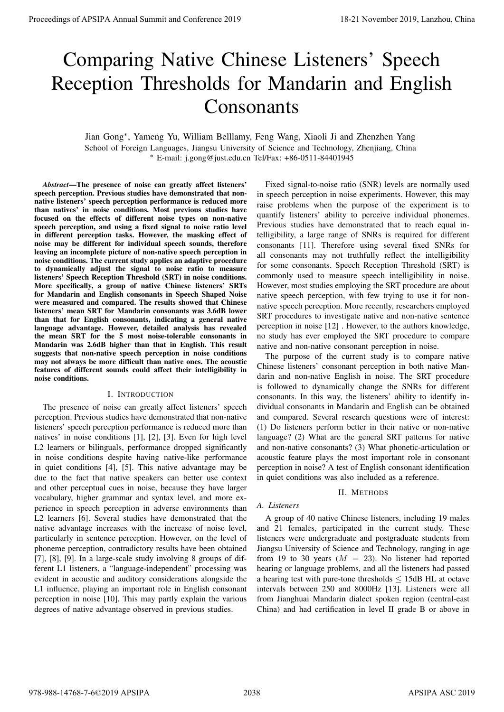# Comparing Native Chinese Listeners' Speech Reception Thresholds for Mandarin and English Consonants

Jian Gong<sup>∗</sup> , Yameng Yu, William Belllamy, Feng Wang, Xiaoli Ji and Zhenzhen Yang School of Foreign Languages, Jiangsu University of Science and Technology, Zhenjiang, China <sup>∗</sup> E-mail: j.gong@just.edu.cn Tel/Fax: +86-0511-84401945

*Abstract*—The presence of noise can greatly affect listeners' speech perception. Previous studies have demonstrated that nonnative listeners' speech perception performance is reduced more than natives' in noise conditions. Most previous studies have focused on the effects of different noise types on non-native speech perception, and using a fixed signal to noise ratio level in different perception tasks. However, the masking effect of noise may be different for individual speech sounds, therefore leaving an incomplete picture of non-native speech perception in noise conditions. The current study applies an adaptive procedure to dynamically adjust the signal to noise ratio to measure listeners' Speech Reception Threshold (SRT) in noise conditions. More specifically, a group of native Chinese listeners' SRTs for Mandarin and English consonants in Speech Shaped Noise were measured and compared. The results showed that Chinese listeners' mean SRT for Mandarin consonants was 3.6dB lower than that for English consonants, indicating a general native language advantage. However, detailed analysis has revealed the mean SRT for the 5 most noise-tolerable consonants in Mandarin was 2.6dB higher than that in English. This result suggests that non-native speech perception in noise conditions may not always be more difficult than native ones. The acoustic features of different sounds could affect their intelligibility in noise conditions.

# I. INTRODUCTION

The presence of noise can greatly affect listeners' speech perception. Previous studies have demonstrated that non-native listeners' speech perception performance is reduced more than natives' in noise conditions [1], [2], [3]. Even for high level L2 learners or bilinguals, performance dropped significantly in noise conditions despite having native-like performance in quiet conditions [4], [5]. This native advantage may be due to the fact that native speakers can better use context and other perceptual cues in noise, because they have larger vocabulary, higher grammar and syntax level, and more experience in speech perception in adverse environments than L2 learners [6]. Several studies have demonstrated that the native advantage increases with the increase of noise level, particularly in sentence perception. However, on the level of phoneme perception, contradictory results have been obtained [7], [8], [9]. In a large-scale study involving 8 groups of different L1 listeners, a "language-independent" processing was evident in acoustic and auditory considerations alongside the L1 influence, playing an important role in English consonant perception in noise [10]. This may partly explain the various degrees of native advantage observed in previous studies. **Proceedings of APSIPA Annual Summit of China Second 1919**<br> **Comparing Native Chinese Listeners' Speech Recognition**<br>
Ann Cong-Visney We will also for Mandatin and English<br>
An Cong-Visney We will also for Mandatin and Eng

Fixed signal-to-noise ratio (SNR) levels are normally used in speech perception in noise experiments. However, this may raise problems when the purpose of the experiment is to quantify listeners' ability to perceive individual phonemes. Previous studies have demonstrated that to reach equal intelligibility, a large range of SNRs is required for different consonants [11]. Therefore using several fixed SNRs for all consonants may not truthfully reflect the intelligibility for some consonants. Speech Reception Threshold (SRT) is commonly used to measure speech intelligibility in noise. However, most studies employing the SRT procedure are about native speech perception, with few trying to use it for nonnative speech perception. More recently, researchers employed SRT procedures to investigate native and non-native sentence perception in noise [12] . However, to the authors knowledge, no study has ever employed the SRT procedure to compare native and non-native consonant perception in noise.

The purpose of the current study is to compare native Chinese listeners' consonant perception in both native Mandarin and non-native English in noise. The SRT procedure is followed to dynamically change the SNRs for different consonants. In this way, the listeners' ability to identify individual consonants in Mandarin and English can be obtained and compared. Several research questions were of interest: (1) Do listeners perform better in their native or non-native language? (2) What are the general SRT patterns for native and non-native consonants? (3) What phonetic-articulation or acoustic feature plays the most important role in consonant perception in noise? A test of English consonant identification in quiet conditions was also included as a reference.

## II. METHODS

# *A. Listeners*

A group of 40 native Chinese listeners, including 19 males and 21 females, participated in the current study. These listeners were undergraduate and postgraduate students from Jiangsu University of Science and Technology, ranging in age from 19 to 30 years ( $M = 23$ ). No listener had reported hearing or language problems, and all the listeners had passed a hearing test with pure-tone thresholds  $\leq$  15dB HL at octave intervals between 250 and 8000Hz [13]. Listeners were all from Jianghuai Mandarin dialect spoken region (central-east China) and had certification in level II grade B or above in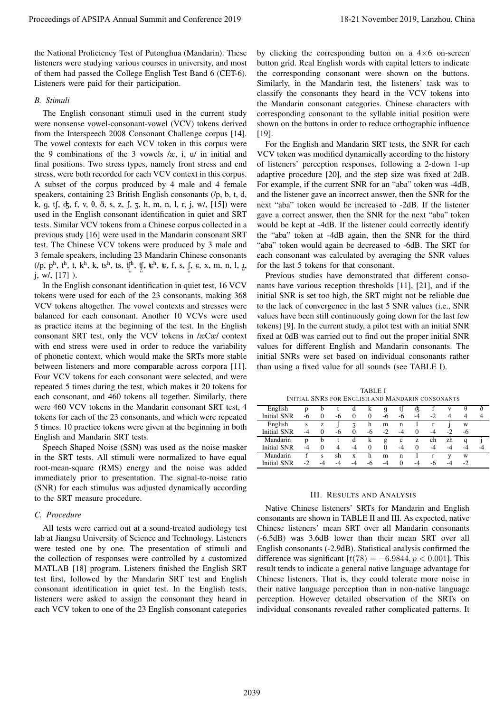the National Proficiency Test of Putonghua (Mandarin). These listeners were studying various courses in university, and most of them had passed the College English Test Band 6 (CET-6). Listeners were paid for their participation.

### *B. Stimuli*

The English consonant stimuli used in the current study were nonsense vowel-consonant-vowel (VCV) tokens derived from the Interspeech 2008 Consonant Challenge corpus [14]. The vowel contexts for each VCV token in this corpus were the 9 combinations of the 3 vowels /æ, i, u/ in initial and final positions. Two stress types, namely front stress and end stress, were both recorded for each VCV context in this corpus. A subset of the corpus produced by 4 male and 4 female speakers, containing 23 British English consonants (/p, b, t, d, k, g, t $\int$ ,  $\oint$ , f, v,  $\theta$ ,  $\delta$ , s, z,  $\int$ ,  $\zeta$ , h, m, n, l, r, j, w/, [15]) were used in the English consonant identification in quiet and SRT tests. Similar VCV tokens from a Chinese corpus collected in a previous study [16] were used in the Mandarin consonant SRT test. The Chinese VCV tokens were produced by 3 male and 3 female speakers, including 23 Mandarin Chinese consonants  $($ /p, p<sup>h</sup>, t<sup>h</sup>, t, k<sup>h</sup>, k, ts<sup>h</sup>, ts, tj<sup>h</sup>, tj, tsh, ts, f, s, j, c, x, m, n, l, <u>y</u>, j, w/, [17] ). Proceedings of APSIPA Annual Summit and Conference 2019<br>
In Northern Conference 2019 18-21 November 2019, Lanzhou, China 2039 18-21 November 2019, Lanzhou, China 2039 18-21 November 2019, Lanzhou, China 2039 18-21 Novembe

In the English consonant identification in quiet test, 16 VCV tokens were used for each of the 23 consonants, making 368 VCV tokens altogether. The vowel contexts and stresses were balanced for each consonant. Another 10 VCVs were used as practice items at the beginning of the test. In the English consonant SRT test, only the VCV tokens in /æCæ/ context with end stress were used in order to reduce the variability of phonetic context, which would make the SRTs more stable between listeners and more comparable across corpora [11]. Four VCV tokens for each consonant were selected, and were repeated 5 times during the test, which makes it 20 tokens for each consonant, and 460 tokens all together. Similarly, there were 460 VCV tokens in the Mandarin consonant SRT test, 4 tokens for each of the 23 consonants, and which were repeated 5 times. 10 practice tokens were given at the beginning in both English and Mandarin SRT tests.

Speech Shaped Noise (SSN) was used as the noise masker in the SRT tests. All stimuli were normalized to have equal root-mean-square (RMS) energy and the noise was added immediately prior to presentation. The signal-to-noise ratio (SNR) for each stimulus was adjusted dynamically according to the SRT measure procedure.

## *C. Procedure*

All tests were carried out at a sound-treated audiology test lab at Jiangsu University of Science and Technology. Listeners were tested one by one. The presentation of stimuli and the collection of responses were controlled by a customized MATLAB [18] program. Listeners finished the English SRT test first, followed by the Mandarin SRT test and English consonant identification in quiet test. In the English tests, listeners were asked to assign the consonant they heard in each VCV token to one of the 23 English consonant categories

by clicking the corresponding button on a  $4\times6$  on-screen button grid. Real English words with capital letters to indicate the corresponding consonant were shown on the buttons. Similarly, in the Mandarin test, the listeners' task was to classify the consonants they heard in the VCV tokens into the Mandarin consonant categories. Chinese characters with corresponding consonant to the syllable initial position were shown on the buttons in order to reduce orthographic influence [19].

For the English and Mandarin SRT tests, the SNR for each VCV token was modified dynamically according to the history of listeners' perception responses, following a 2-down 1-up adaptive procedure [20], and the step size was fixed at 2dB. For example, if the current SNR for an "aba" token was -4dB, and the listener gave an incorrect answer, then the SNR for the next "aba" token would be increased to -2dB. If the listener gave a correct answer, then the SNR for the next "aba" token would be kept at -4dB. If the listener could correctly identify the "aba" token at -4dB again, then the SNR for the third "aba" token would again be decreased to -6dB. The SRT for each consonant was calculated by averaging the SNR values for the last 5 tokens for that consonant.

Previous studies have demonstrated that different consonants have various reception thresholds [11], [21], and if the initial SNR is set too high, the SRT might not be reliable due to the lack of convergence in the last 5 SNR values (i.e., SNR values have been still continuously going down for the last few tokens) [9]. In the current study, a pilot test with an initial SNR fixed at 0dB was carried out to find out the proper initial SNR values for different English and Mandarin consonants. The initial SNRs were set based on individual consonants rather than using a fixed value for all sounds (see TABLE I).

TABLE I INITIAL SNRS FOR ENGLISH AND MANDARIN CONSONANTS

| English            | p    | b        |    | d        | k        | g    | tJ          | ¢ξ       |         | v    |    | ð  |
|--------------------|------|----------|----|----------|----------|------|-------------|----------|---------|------|----|----|
| <b>Initial SNR</b> | -6   | 0        | -6 | $\Omega$ | $\Omega$ | -6   | -6          | -4       | $\cdot$ | 4    |    |    |
| English            | S    | z        |    | ζ        | h        | m    | n           |          |         |      | W  |    |
| <b>Initial SNR</b> | -4   | 0        | -6 | $\Omega$ | -6       | $-2$ | $-4$        | $\Omega$ | -4      | $-2$ | -6 |    |
| Mandarin           | p    | b        |    | d        | k        | g    | $\mathbf c$ | z        | ch      | zh   |    |    |
| <b>Initial SNR</b> | -4   | $\theta$ | 4  | $-4$     | $\theta$ | 0    | $-4$        | $\Omega$ | -4      | -4   |    | -4 |
| Mandarin           |      | s        | sh | X        | h        | m    | n           |          |         |      | w  |    |
| Initial SNR        | $-2$ |          | -4 |          | $-6$     | -4   | $\theta$    | -4       | -n      |      |    |    |

# III. RESULTS AND ANALYSIS

Native Chinese listeners' SRTs for Mandarin and English consonants are shown in TABLE II and III. As expected, native Chinese listeners' mean SRT over all Mandarin consonants (-6.5dB) was 3.6dB lower than their mean SRT over all English consonants (-2.9dB). Statistical analysis confirmed the difference was significant  $[t(78) = -6.9844, p < 0.001]$ . This result tends to indicate a general native language advantage for Chinese listeners. That is, they could tolerate more noise in their native language perception than in non-native language perception. However detailed observation of the SRTs on individual consonants revealed rather complicated patterns. It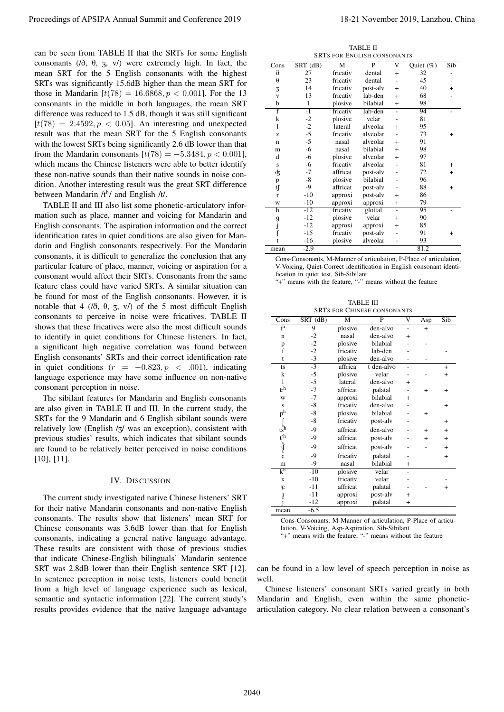can be seen from TABLE II that the SRTs for some English consonants ( $/0$ ,  $\theta$ ,  $\zeta$ ,  $v/$ ) were extremely high. In fact, the mean SRT for the 5 English consonants with the highest SRTs was significantly 15.6dB higher than the mean SRT for those in Mandarin  $[t(78) = 16.6868, p < 0.001]$ . For the 13 consonants in the middle in both languages, the mean SRT difference was reduced to 1.5 dB, though it was still significant  $[t(78) = 2.4592, p < 0.05]$ . An interesting and unexpected result was that the mean SRT for the 5 English consonants with the lowest SRTs being significantly 2.6 dB lower than that from the Mandarin consonants  $[t(78) = -5.3484, p < 0.001]$ , which means the Chinese listeners were able to better identify these non-native sounds than their native sounds in noise condition. Another interesting result was the great SRT difference between Mandarin /th/ and English /t/.

TABLE II and III also list some phonetic-articulatory information such as place, manner and voicing for Mandarin and English consonants. The aspiration information and the correct identification rates in quiet conditions are also given for Mandarin and English consonants respectively. For the Mandarin consonants, it is difficult to generalize the conclusion that any particular feature of place, manner, voicing or aspiration for a consonant would affect their SRTs. Consonants from the same feature class could have varied SRTs. A similar situation can be found for most of the English consonants. However, it is notable that 4 ( $/0$ ,  $\theta$ ,  $\zeta$ ,  $v/$ ) of the 5 most difficult English consonants to perceive in noise were fricatives. TABLE II shows that these fricatives were also the most difficult sounds to identify in quiet conditions for Chinese listeners. In fact, a significant high negative correlation was found between English consonants' SRTs and their correct identification rate in quiet conditions  $(r = -0.823, p < .001)$ , indicating language experience may have some influence on non-native consonant perception in noise. Proceedings of APSIPA Annual Summit and Conference 2019<br>
contents of A.5, a) were signified that the Summit and Eq. (a) and the Summit and Conference 2019, Langlate 2019, Langlate 2019, Langlate 2019, Langlate 2019, Langl

The sibilant features for Mandarin and English consonants are also given in TABLE II and III. In the current study, the SRTs for the 9 Mandarin and 6 English sibilant sounds were relatively low (English /z/ was an exception), consistent with previous studies' results, which indicates that sibilant sounds are found to be relatively better perceived in noise conditions [10], [11].

#### IV. DISCUSSION

The current study investigated native Chinese listeners' SRT for their native Mandarin consonants and non-native English consonants. The results show that listeners' mean SRT for Chinese consonants was 3.6dB lower than that for English consonants, indicating a general native language advantage. These results are consistent with those of previous studies that indicate Chinese-English bilinguals' Mandarin sentence SRT was 2.8dB lower than their English sentence SRT [12]. In sentence perception in noise tests, listeners could benefit from a high level of language experience such as lexical, semantic and syntactic information [22]. The current study's results provides evidence that the native language advantage

TABLE II SRTS FOR ENGLISH CONSONANTS

| Cons                    | $SRT$ $(dB)$ | M        | $\overline{P}$ | $\overline{\mathsf{v}}$ | Quiet $(\%)$ | Sib            |
|-------------------------|--------------|----------|----------------|-------------------------|--------------|----------------|
| ð                       | 27           | fricativ | dental         | $\ddot{}$               | 32           |                |
| $\theta$                | 23           | fricativ | dental         |                         | 45           |                |
| 3                       | 14           | fricativ | post-alv       | $\overline{+}$          | 40           | $\ddot{}$      |
| $\overline{\mathbf{V}}$ | 13           | fricativ | lab-den        | $\overline{+}$          | 68           |                |
| b                       | $\mathbf{1}$ | plosive  | bilabial       | $\overline{+}$          | 98           |                |
| $\overline{f}$          | $-1$         | fricativ | lab-den        | $\overline{a}$          | 94           |                |
| k                       | $-2$         | plosive  | velar          |                         | 81           |                |
| 1                       | $-2$         | lateral  | alveolar       | $\overline{+}$          | 95           |                |
| Z.                      | $-5$         | fricativ | alveolar       |                         | 73           | $\overline{+}$ |
| $\mathbf n$             | $-5$         | nasal    | alveolar       | $\ddot{}$               | 91           |                |
| m                       | -6           | nasal    | bilabial       | $+$                     | 98           |                |
| d                       | -6           | plosive  | alveolar       | $\ddot{}$               | 97           |                |
| S                       | -6           | fricativ | alveolar       |                         | 81           | $\ddot{}$      |
| ģ,                      | -7           | affricat | post-alv       |                         | 72           | $\ddot{}$      |
| p                       | $-8$         | plosive  | bilabial       |                         | 96           |                |
| tſ                      | $-9$         | affricat | post-alv       |                         | 88           | $\overline{+}$ |
| $\mathbf{r}$            | $-10$        | approxi  | post-alv       | $\overline{+}$          | 86           |                |
| W                       | $-10$        | approxi  | approxi        | $\pmb{+}$               | 79           |                |
| h                       | $-12$        | fricativ | glottal        | $\overline{a}$          | 95           |                |
|                         | $-12$        | plosive  | velar          | $\overline{+}$          | 90           |                |
| g<br>j                  | $-12$        | approxi  | approxi        | $\overline{+}$          | 85           |                |
|                         | $-15$        | fricativ | post-alv       |                         | 91           | $\overline{+}$ |
|                         | -16          | plosive  | alveolar       |                         | 93           |                |
| mean                    | $-2.9$       |          |                |                         | 81.2         |                |

Cons-Consonants, M-Manner of articulation, P-Place of articulation, V-Voicing, Quiet-Correct identification in English consonant identification in quiet test, Sib-Sibilant

"+" means with the feature, "-" means without the feature

TABLE III

| SRTs for Chinese consonants                |            |                         |                         |                          |     |           |  |
|--------------------------------------------|------------|-------------------------|-------------------------|--------------------------|-----|-----------|--|
| Cons                                       | $SRT$ (dB) | $\overline{\mathrm{M}}$ | $\overline{\mathsf{P}}$ | $\overline{\rm v}$       | Asp | Sib       |  |
| $t^h$                                      | 9          | plosive                 | den-alvo                | $\overline{a}$           | $+$ |           |  |
| $\mathbf n$                                | $-2$       | nasal                   | den-alvo                | $^{+}$                   |     |           |  |
| p                                          | $-2$       | plosive                 | bilabial                |                          |     |           |  |
| f                                          | $-2$       | fricativ                | lab-den                 |                          |     |           |  |
| t                                          | $-3$       | plosive                 | den-alvo                |                          |     |           |  |
| ts                                         | $-3$       | affrica                 | t den-alvo              | $\overline{\phantom{0}}$ |     | $+$       |  |
| k                                          | -5         | plosive                 | velar                   |                          |     | $^{+}$    |  |
| 1                                          | -5         | lateral                 | den-alvo                | $\ddot{}$                |     |           |  |
| $\mathbf{t}^{\mathrm{h}}$                  | $-7$       | affricat                | palatal                 |                          | $+$ | $+$       |  |
| W                                          | $-7$       | approxi                 | bilabial                | $\overline{+}$           |     |           |  |
| S                                          | -8         | fricativ                | den-alvo                |                          |     | $\ddot{}$ |  |
| p <sup>h</sup>                             | $-8$       | plosive                 | bilabial                |                          | $+$ |           |  |
| ſ                                          | $-8$       | fricativ                | post-alv                |                          |     | $^{+}$    |  |
| $t_s$ <sup><math>\frac{5}{5}h</math></sup> | $-9$       | affricat                | den-alvo                |                          | $+$ | $^{+}$    |  |
|                                            | $-9$       | affricat                | post-alv                |                          | $+$ | $\ddot{}$ |  |
| $\psi^{\text{th}}_{\text{c}}$              | $-9$       | affricat                | post-alv                |                          |     | $\ddot{}$ |  |
|                                            | $-9$       | fricativ                | palatal                 |                          |     | $\ddot{}$ |  |
| m                                          | -9         | nasal                   | bilabial                | $^{+}$                   |     |           |  |
| $k^h$                                      | $-10$      | plosive                 | velar                   |                          |     |           |  |
| X                                          | $-10$      | fricativ                | velar                   |                          |     |           |  |
| t                                          | $-11$      | affricat                | palatal                 |                          |     | $^{+}$    |  |
| لہ<br>آ                                    | $-11$      | approxi                 | post-alv                | $\pm$                    |     |           |  |
|                                            | $-12$      | approxi                 | palatal                 | $^{+}$                   |     |           |  |
| mean                                       | $-6.5$     |                         |                         |                          |     |           |  |

Cons-Consonants, M-Manner of articulation, P-Place of articulation, V-Voicing, Asp-Aspiration, Sib-Sibilant

"+" means with the feature, "-" means without the feature

can be found in a low level of speech perception in noise as well.

Chinese listeners' consonant SRTs varied greatly in both Mandarin and English, even within the same phoneticarticulation category. No clear relation between a consonant's